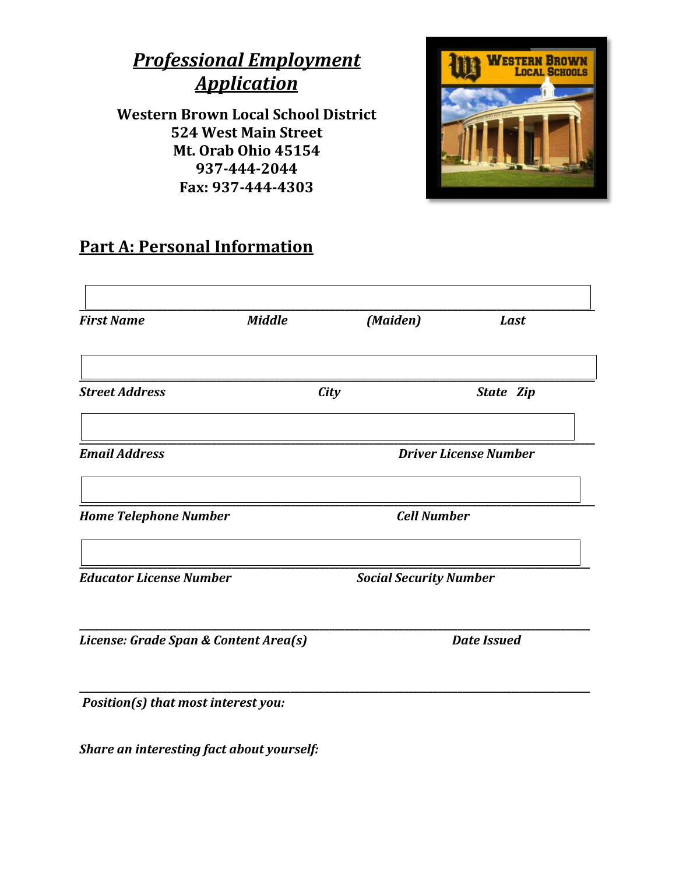

**Western Brown Local School District 524 West Main Street Mt. Orab Ohio 45154 937-444-2044 Fax: 937-444-4303**



## **Part A: Personal Information**

| <b>First Name</b>                     | <b>Middle</b> |      | (Maiden)                      | Last                         |
|---------------------------------------|---------------|------|-------------------------------|------------------------------|
| <b>Street Address</b>                 |               | City |                               | State Zip                    |
| <b>Email Address</b>                  |               |      |                               | <b>Driver License Number</b> |
| <b>Home Telephone Number</b>          |               |      | <b>Cell Number</b>            |                              |
| <b>Educator License Number</b>        |               |      | <b>Social Security Number</b> |                              |
| License: Grade Span & Content Area(s) |               |      |                               | <b>Date Issued</b>           |

*Share an interesting fact about yourself:*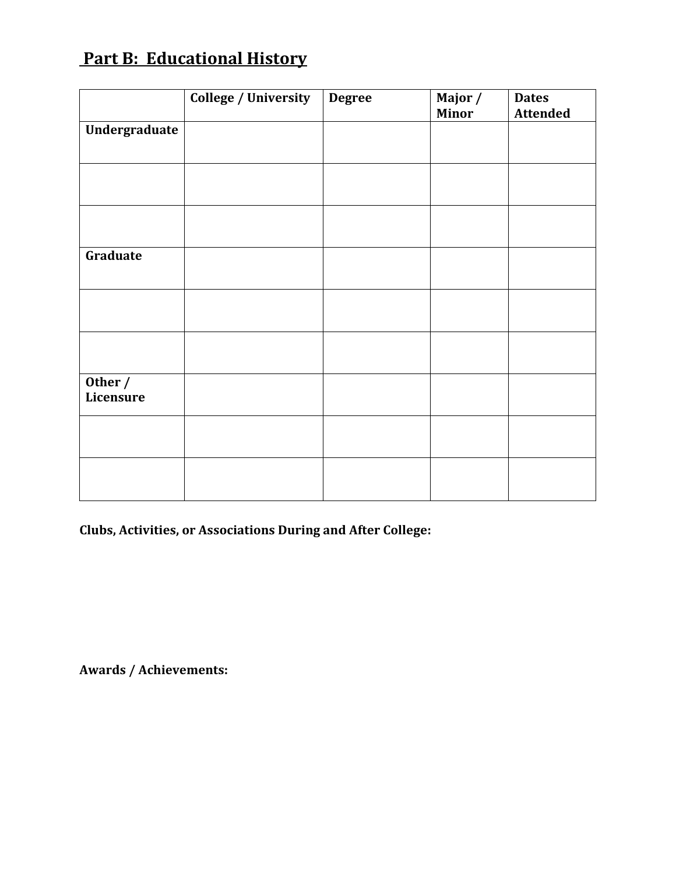# **Part B: Educational History**

|                      | <b>College / University</b> | <b>Degree</b> | Major /<br><b>Minor</b> | <b>Dates</b><br><b>Attended</b> |
|----------------------|-----------------------------|---------------|-------------------------|---------------------------------|
| Undergraduate        |                             |               |                         |                                 |
|                      |                             |               |                         |                                 |
|                      |                             |               |                         |                                 |
|                      |                             |               |                         |                                 |
|                      |                             |               |                         |                                 |
|                      |                             |               |                         |                                 |
| Graduate             |                             |               |                         |                                 |
|                      |                             |               |                         |                                 |
|                      |                             |               |                         |                                 |
|                      |                             |               |                         |                                 |
|                      |                             |               |                         |                                 |
|                      |                             |               |                         |                                 |
| Other /<br>Licensure |                             |               |                         |                                 |
|                      |                             |               |                         |                                 |
|                      |                             |               |                         |                                 |
|                      |                             |               |                         |                                 |
|                      |                             |               |                         |                                 |
|                      |                             |               |                         |                                 |

**Clubs, Activities, or Associations During and After College:** 

**Awards / Achievements:**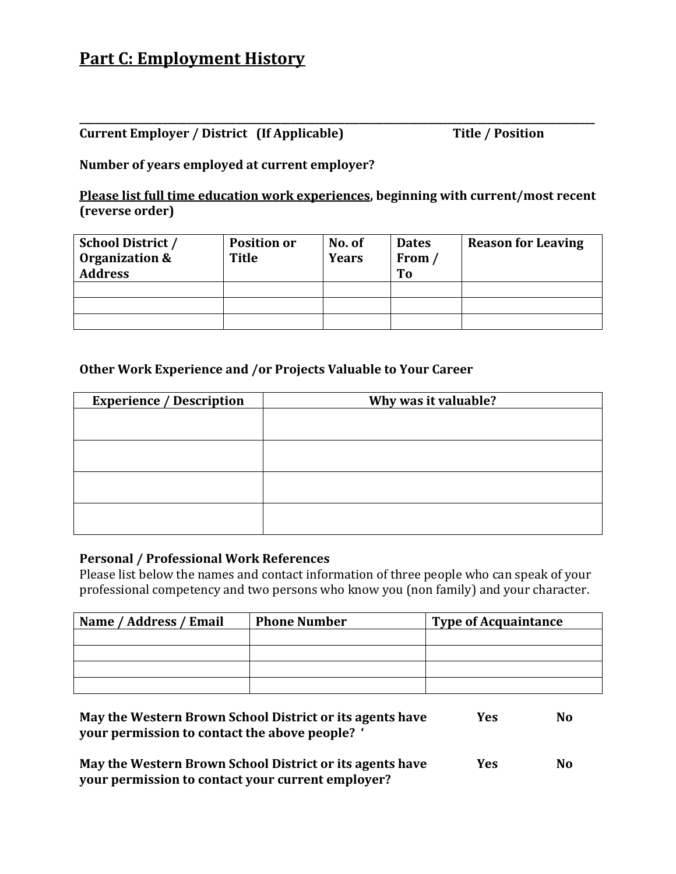### **Part C: Employment History**

#### **Current Employer / District (If Applicable) Title / Position**

**Number of years employed at current employer?** 

**Please list full time education work experiences, beginning with current/most recent (reverse order)**

**\_\_\_\_\_\_\_\_\_\_\_\_\_\_\_\_\_\_\_\_\_\_\_\_\_\_\_\_\_\_\_\_\_\_\_\_\_\_\_\_\_\_\_\_\_\_\_\_\_\_\_\_\_\_\_\_\_\_\_\_\_\_\_\_\_\_\_\_\_\_\_\_\_\_\_\_\_\_\_\_\_\_\_\_\_\_\_\_\_\_\_\_\_\_\_\_\_\_\_\_\_\_\_\_\_**

| <b>School District /</b><br>Organization &<br><b>Address</b> | <b>Position or</b><br><b>Title</b> | No. of<br><b>Years</b> | <b>Dates</b><br>From $\overline{a}$<br>T <sub>0</sub> | <b>Reason for Leaving</b> |
|--------------------------------------------------------------|------------------------------------|------------------------|-------------------------------------------------------|---------------------------|
|                                                              |                                    |                        |                                                       |                           |
|                                                              |                                    |                        |                                                       |                           |
|                                                              |                                    |                        |                                                       |                           |

#### **Other Work Experience and /or Projects Valuable to Your Career**

| <b>Experience / Description</b> | Why was it valuable? |  |  |
|---------------------------------|----------------------|--|--|
|                                 |                      |  |  |
|                                 |                      |  |  |
|                                 |                      |  |  |
|                                 |                      |  |  |
|                                 |                      |  |  |
|                                 |                      |  |  |
|                                 |                      |  |  |
|                                 |                      |  |  |

#### **Personal / Professional Work References**

Please list below the names and contact information of three people who can speak of your professional competency and two persons who know you (non family) and your character.

| Name / Address / Email | <b>Phone Number</b> | <b>Type of Acquaintance</b> |
|------------------------|---------------------|-----------------------------|
|                        |                     |                             |
|                        |                     |                             |
|                        |                     |                             |
|                        |                     |                             |

| May the Western Brown School District or its agents have<br>your permission to contact the above people? '    | Yes | N <sub>0</sub> |
|---------------------------------------------------------------------------------------------------------------|-----|----------------|
| May the Western Brown School District or its agents have<br>your permission to contact your current employer? | Yes | N <sub>0</sub> |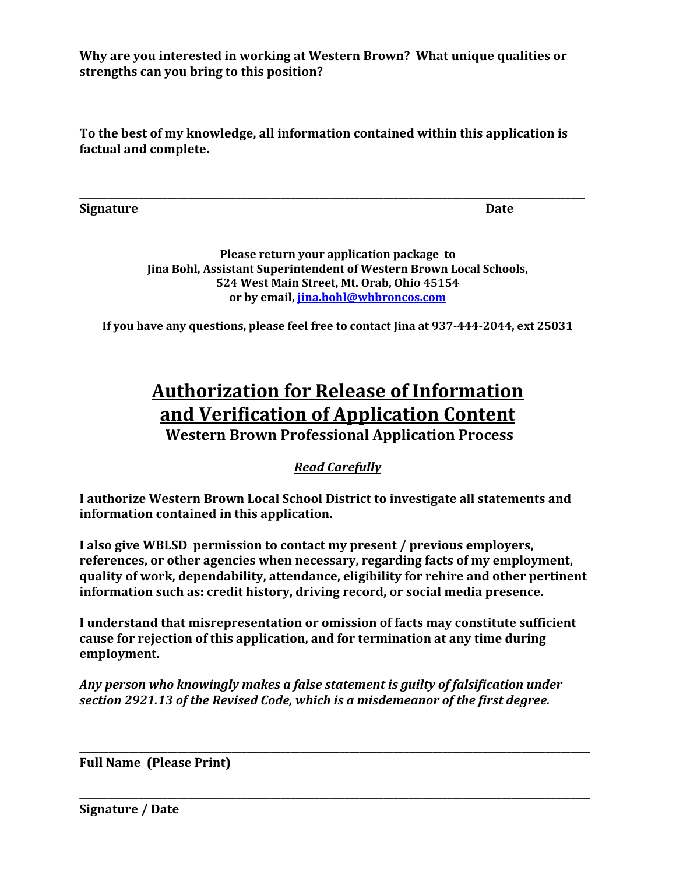**Why are you interested in working at Western Brown? What unique qualities or strengths can you bring to this position?**

**To the best of my knowledge, all information contained within this application is factual and complete.**

**\_\_\_\_\_\_\_\_\_\_\_\_\_\_\_\_\_\_\_\_\_\_\_\_\_\_\_\_\_\_\_\_\_\_\_\_\_\_\_\_\_\_\_\_\_\_\_\_\_\_\_\_\_\_\_\_\_\_\_\_\_\_\_\_\_\_\_\_\_\_\_\_\_\_\_\_\_\_\_\_\_\_\_\_\_\_\_\_\_\_\_\_\_\_\_\_\_\_\_\_\_\_\_**

**Signature Date**

**Please return your application package to Jina Bohl, Assistant Superintendent of Western Brown Local Schools, 524 West Main Street, Mt. Orab, Ohio 45154 or by email[, jina.bohl@wbbroncos.com](mailto:jina.bohl@wbbroncos.com)**

**If you have any questions, please feel free to contact Jina at 937-444-2044, ext 25031**

### **Authorization for Release of Information and Verification of Application Content Western Brown Professional Application Process**

### *Read Carefully*

**I authorize Western Brown Local School District to investigate all statements and information contained in this application.** 

**I also give WBLSD permission to contact my present / previous employers, references, or other agencies when necessary, regarding facts of my employment, quality of work, dependability, attendance, eligibility for rehire and other pertinent information such as: credit history, driving record, or social media presence.**

**I understand that misrepresentation or omission of facts may constitute sufficient cause for rejection of this application, and for termination at any time during employment.**

*Any person who knowingly makes a false statement is guilty of falsification under section 2921.13 of the Revised Code, which is a misdemeanor of the first degree.*

**\_\_\_\_\_\_\_\_\_\_\_\_\_\_\_\_\_\_\_\_\_\_\_\_\_\_\_\_\_\_\_\_\_\_\_\_\_\_\_\_\_\_\_\_\_\_\_\_\_\_\_\_\_\_\_\_\_\_\_\_\_\_\_\_\_\_\_\_\_\_\_\_\_\_\_\_\_\_\_\_\_\_\_\_\_\_\_\_\_\_\_\_\_\_\_\_\_\_\_\_\_\_\_\_**

**\_\_\_\_\_\_\_\_\_\_\_\_\_\_\_\_\_\_\_\_\_\_\_\_\_\_\_\_\_\_\_\_\_\_\_\_\_\_\_\_\_\_\_\_\_\_\_\_\_\_\_\_\_\_\_\_\_\_\_\_\_\_\_\_\_\_\_\_\_\_\_\_\_\_\_\_\_\_\_\_\_\_\_\_\_\_\_\_\_\_\_\_\_\_\_\_\_\_\_\_\_\_\_\_**

**Full Name (Please Print)**